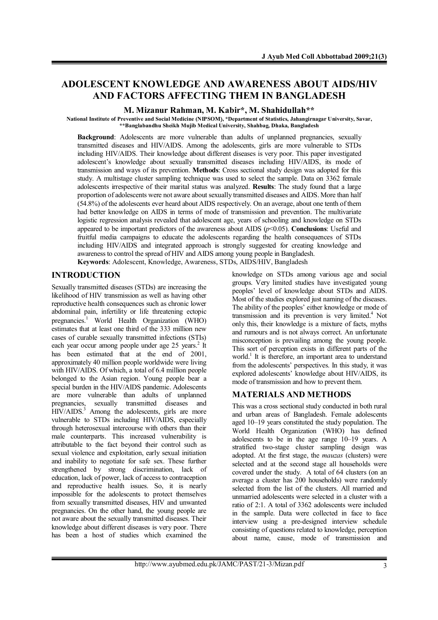# **ADOLESCENT KNOWLEDGE AND AWARENESS ABOUT AIDS/HIV AND FACTORS AFFECTING THEM IN BANGLADESH**

**M. Mizanur Rahman, M. Kabir\*, M. Shahidullah\*\***

**National Institute of Preventive and Social Medicine (NIPSOM, \*Department of Statistics, Jahangirnagar University, Savar, \*\*Banglabandhu Sheikh Mujib Medical University, Shahbag, Dhaka, Bangladesh**

**Background**: Adolescents are more vulnerable than adults of unplanned pregnancies, sexually transmitted diseases and HIV/AIDS. Among the adolescents, girls are more vulnerable to STDs including HIV/AIDS. Their knowledge about different diseases is very poor. This paper investigated adolescent's knowledge about sexually transmitted diseases including HIV/AIDS, its mode of transmission and ways of its prevention. **Methods**: Cross sectional study design was adopted for this study. A multistage cluster sampling technique was used to select the sample. Data on 3362 female adolescents irrespective of their marital status was analyzed. **Results**: The study found that a large proportion of adolescents were not aware about sexually transmitted diseases and AIDS. More than half 54.8 of the adolescents ever heard about AIDS respectively. On an average, about one tenth of them had better knowledge on AIDS in terms of mode of transmission and prevention. The multivariate logistic regression analysis revealed that adolescent age, years of schooling and knowledge on STDs appeared to be important predictors of the awareness about AIDS *p*<0.05. **Conclusions**: Useful and fruitful media campaigns to educate the adolescents regarding the health consequences of STDs including HIV/AIDS and integrated approach is strongly suggested for creating knowledge and awareness to control the spread of HIV and AIDS among young people in Bangladesh.

**Keywords**: Adolescent, Knowledge, Awareness, STDs, AIDS/HIV, Bangladesh

## **INTRODUCTION**

Sexually transmitted diseases (STDs) are increasing the likelihood of HIV transmission as well as having other reproductive health consequences such as chronic lower abdominal pain, infertility or life threatening ectopic pregnancies. 1 World Health Organization WHO) estimates that at least one third of the 333 million new cases of curable sexually transmitted infections (STIs) each year occur among people under age 25 years.<sup>2</sup> It has been estimated that at the end of 2001. approximately 40 million people worldwide were living with HIV/AIDS. Of which, a total of 6.4 million people belonged to the Asian region. Young people bear a special burden in the HIV/AIDS pandemic. Adolescents are more vulnerable than adults of unplanned pregnancies, sexually transmitted diseases and HIV/AIDS.<sup>3</sup> Among the adolescents, girls are more vulnerable to STDs including HIV/AIDS, especially through heterosexual intercourse with others than their male counterparts. This increased vulnerability is attributable to the fact beyond their control such as sexual violence and exploitation, early sexual initiation and inability to negotiate for safe sex. These further strengthened by strong discrimination, lack of education, lack of power, lack of access to contraception and reproductive health issues. So, it is nearly impossible for the adolescents to protect themselves from sexually transmitted diseases, HIV and unwanted pregnancies. On the other hand, the young people are not aware about the sexually transmitted diseases. Their knowledge about different diseases is very poor. There has been a host of studies which examined the

knowledge on STDs among various age and social groups. Very limited studies have investigated young peoples' level of knowledge about STDs and AIDS. Most of the studies explored just naming of the diseases. The ability of the peoples' either knowledge or mode of transmission and its prevention is very limited. 4 Not only this, their knowledge is a mixture of facts, myths and rumours and is not always correct. An unfortunate misconception is prevailing among the young people. This sort of perception exists in different parts of the world.<sup>1</sup> It is therefore, an important area to understand from the adolescents' perspectives. In this study, it was explored adolescents' knowledge about HIV/AIDS, its mode of transmission and how to prevent them.

### **MATERIALS AND METHODS**

This was a cross sectional study conducted in both rural and urban areas of Bangladesh. Female adolescents aged 10–19 years constituted the study population. The World Health Organization (WHO) has defined adolescents to be in the age range 10–19 years. A stratified two-stage cluster sampling design was adopted. At the first stage, the *mauzas* (clusters) were selected and at the second stage all households were covered under the study. A total of 64 clusters (on an average a cluster has 200 households) were randomly selected from the list of the clusters. All married and unmarried adolescents were selected in a cluster with a ratio of 2:1. A total of 3362 adolescents were included in the sample. Data were collected in face to face interview using a pre-designed interview schedule consisting of questions related to knowledge, perception about name, cause, mode of transmission and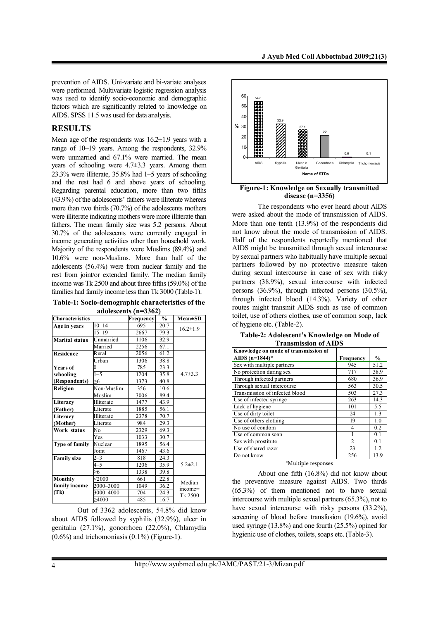prevention of AIDS. Uni-variate and bi-variate analyses were performed. Multivariate logistic regression analysis was used to identify socio-economic and demographic factors which are significantly related to knowledge on AIDS. SPSS 11.5 was used for data analysis.

## **RESULTS**

Mean age of the respondents was 16.2±1.9 years with a range of 10–19 years. Among the respondents, 32.9% were unmarried and 67.1% were married. The mean years of schooling were 4.7±3.3 years. Among them  $23.3\%$  were illiterate,  $35.8\%$  had  $1-5$  years of schooling and the rest had 6 and above years of schooling. Regarding parental education, more than two fifths (43.9%) of the adolescents' fathers were illiterate whereas more than two thirds  $(70.7%)$  of the adolescents mothers were illiterate indicating mothers were more illiterate than fathers. The mean family size was 5.2 persons. About 30.7% of the adolescents were currently engaged in income generating activities other than household work. Majority of the respondents were Muslims (89.4%) and 10.6% were non-Muslims. More than half of the adolescents  $(56.4\%)$  were from nuclear family and the rest from joint/or extended family. The median family income was Tk  $2500$  and about three fifths  $(59.0\%)$  of the families had family income less than Tk 3000 (Table-1).

**Table-1: Socio-demographic characteristics of the adolescents n=3362**

| <b>Characteristics</b> |            | Frequency | $\frac{0}{0}$ | $Mean \pm SD$  |
|------------------------|------------|-----------|---------------|----------------|
|                        | $10 - 14$  | 695       |               |                |
| Age in years           |            |           | 20.7          | $16.2 \pm 1.9$ |
|                        | $15 - 19$  | 2667      | 79.3          |                |
| <b>Marital status</b>  | Unmarried  | 1106      | 32.9          |                |
|                        | Married    | 2256      | 67.1          |                |
| <b>Residence</b>       | Rural      | 2056      | 61.2          |                |
|                        | Urban      | 1306      | 38.8          |                |
| <b>Years of</b>        | 0          | 785       | 23.3          |                |
| schooling              | $1 - 5$    | 1204      | 35.8          | $4.7 \pm 3.3$  |
| (Respondents)          | >6         | 1373      | 40.8          |                |
| Religion               | Non-Muslim | 356       | 10.6          |                |
|                        | Muslim     | 3006      | 89.4          |                |
| Literacy               | Illiterate | 1477      | 43.9          |                |
| (Father)               | Literate   | 1885      | 56.1          |                |
| Literacy               | Illiterate | 2378      | 70.7          |                |
| (Mother)               | Literate   | 984       | 29.3          |                |
| Work status            | No         | 2329      | 69.3          |                |
|                        | Yes        | 1033      | 30.7          |                |
| Type of family         | Nuclear    | 1895      | 56.4          |                |
|                        | Joint      | 1467      | 43.6          |                |
| <b>Family size</b>     | $2 - 3$    | 818       | 24.3          |                |
|                        | $4 - 5$    | 1206      | 35.9          | $5.2 \pm 2.1$  |
|                        | -6         | 1338      | 39.8          |                |
| Monthly                | < 2000     | 661       | 22.8          | Median         |
| family income          | 2000-3000  | 1049      | 36.2          | income=        |
| (Tk)                   | 3000–4000  | 704       | 24.3          | Tk 2500        |
|                        | >4000      | 485       | 16.7          |                |

Out of 3362 adolescents, 54.8% did know about AIDS followed by syphilis  $(32.9\%)$ , ulcer in genitalia  $(27.1\%)$ , gonorrhoea  $(22.0\%)$ , Chlamydia  $(0.6\%)$  and trichomoniasis  $(0.1\%)$  (Figure-1).



**Figure-1: Knowledge on Sexually transmitted disease (n=3356)**

The respondents who ever heard about AIDS were asked about the mode of transmission of AIDS. More than one tenth  $(13.9\%)$  of the respondents did not know about the mode of transmission of AIDS. Half of the respondents reportedly mentioned that AIDS might be transmitted through sexual intercourse by sexual partners who habitually have multiple sexual partners followed by no protective measure taken during sexual intercourse in case of sex with risky partners (38.9%), sexual intercourse with infected persons  $(36.9\%)$ , through infected persons  $(30.5\%)$ , through infected blood (14.3%). Variety of other routes might transmit AIDS such as use of common toilet, use of others clothes, use of common soap, lack of hygiene etc. Table-2).

**Table-2: Adolescent's Knowledge on Mode of Transmission of AIDS**

| Knowledge on mode of transmission of |                |               |
|--------------------------------------|----------------|---------------|
| AIDS $(n=1844)*$                     | Frequency      | $\frac{0}{0}$ |
| Sex with multiple partners           | 945            | 51.2          |
| No protection during sex             | 717            | 38.9          |
| Through infected partners            | 680            | 36.9          |
| Through sexual intercourse           | 563            | 30.5          |
| Transmission of infected blood       | 503            | 27.3          |
| Use of infected syringe              | 263            | 14.3          |
| Lack of hygiene                      | 101            | 5.5           |
| Use of dirty toilet                  | 24             | 1.3           |
| Use of others clothing               | 19             | 1.0           |
| No use of condom                     | 4              | 0.2           |
| Use of common soap                   | 1              | 0.1           |
| Sex with prostitute                  | $\overline{2}$ | 0.1           |
| Use of shared razor                  | 23             | 1.2           |
| Do not know                          | 256            | 13.9          |

\*Multiple responses

About one fifth  $(16.8\%)$  did not know about the preventive measure against AIDS. Two thirds  $(65.3\%)$  of them mentioned not to have sexual intercourse with multiple sexual partners  $(65.3\%)$ , not to have sexual intercourse with risky persons  $(33.2\%)$ , screening of blood before transfusion  $(19.6\%)$ , avoid used syringe  $(13.8\%)$  and one fourth  $(25.5\%)$  opined for hygienic use of clothes, toilets, soaps etc. Table-3).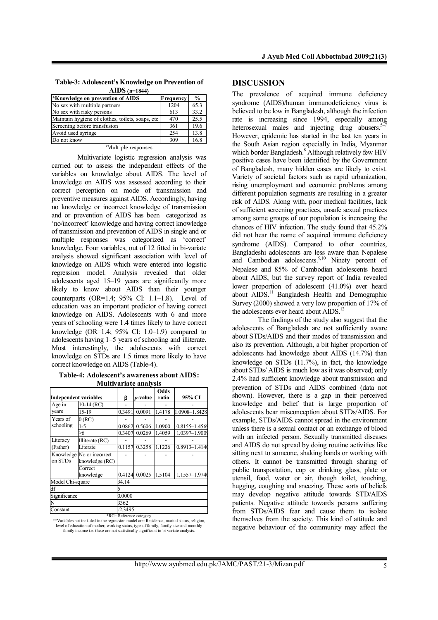| Table-3: Adolescent's Knowledge on Prevention of |
|--------------------------------------------------|
| $\rm{AIDS}$ (n=1844)                             |

| *Knowledge on prevention of AIDS                  | Frequency | $\frac{0}{0}$ |
|---------------------------------------------------|-----------|---------------|
| No sex with multiple partners                     | 1204      | 65.3          |
| No sex with risky persons                         | 613       | 33.2          |
| Maintain hygiene of clothes, toilets, soaps, etc. | 470       | 25.5          |
| Screening before transfusion                      | 361       | 19.6          |
| Avoid used syringe                                | 254       | 13.8          |
| Do not know                                       | 309       | 16.8          |

#### \*Multiple responses

Multivariate logistic regression analysis was carried out to assess the independent effects of the variables on knowledge about AIDS. The level of knowledge on AIDS was assessed according to their correct perception on mode of transmission and preventive measures against AIDS. Accordingly, having no knowledge or incorrect knowledge of transmission and or prevention of AIDS has been categorized as 'no/incorrect' knowledge and having correct knowledge of transmission and prevention of AIDS in single and or multiple responses was categorized as 'correct' knowledge. Four variables, out of 12 fitted in bi-variate analysis showed significant association with level of knowledge on AIDS which were entered into logistic regression model. Analysis revealed that older adolescents aged 15–19 years are significantly more likely to know about AIDS than their younger counterparts  $(OR=1.4; 95\% \text{ CI: } 1.1-1.8)$ . Level of education was an important predictor of having correct knowledge on AIDS. Adolescents with 6 and more years of schooling were 1.4 times likely to have correct knowledge  $(OR=1.4; 95\% \text{ CI: } 1.0-1.9)$  compared to adolescents having 1–5 years of schooling and illiterate. Most interestingly, the adolescents with correct knowledge on STDs are 1.5 times more likely to have correct knowledge on AIDS (Table-4).

**Table-4: Adolescent's awareness about AIDS: Multivariate analysis**

|                              |                           |                                              |                 | Odds   |               |  |
|------------------------------|---------------------------|----------------------------------------------|-----------------|--------|---------------|--|
| <b>Independent variables</b> |                           | β                                            | <i>p</i> -value | ratio  | 95% CI        |  |
| Age in                       | $10-14$ (RC)              |                                              |                 |        |               |  |
| vears                        | 15-19                     | 0.3491                                       | 0.0091          | 1.4178 | 1.0908-1.8428 |  |
| Years of                     | 0(RC)                     |                                              |                 |        |               |  |
| schooling                    | $1-5$                     | 0.0862                                       | 0.5606          | 1.0900 | 0.8155-1.4569 |  |
|                              |                           | 0.3407                                       | 0.0269          | 1.4059 | 1.0397-1.9009 |  |
| Literacy                     | Illiterate (RC)           |                                              |                 |        |               |  |
| (Father)                     | Literate                  | 0.1157                                       | 0.3258          | 1.1226 | 0.8913-1.4140 |  |
|                              | Knowledge No or incorrect |                                              |                 |        |               |  |
| on STDs                      | knowledge (RC)            |                                              |                 |        |               |  |
|                              | Correct                   |                                              |                 |        |               |  |
|                              | knowledge                 | 0.4124                                       | 0.0025          | 1.5104 | 1.1557-1.9740 |  |
| Model Chi-square             |                           | 34.14                                        |                 |        |               |  |
| df                           |                           | 5                                            |                 |        |               |  |
| Significance                 |                           | 0.0000                                       |                 |        |               |  |
|                              |                           | 3362                                         |                 |        |               |  |
| Constant                     |                           | $-2.3495$<br>$$D/C = D$ afores as associated |                 |        |               |  |

\*RC= Reference category \*\*Variables not included in the regression model are: Residence, marital status, religion, level of education of mother, working status, type of family, family size and monthly family income i.e. these are not statistically significant in bi-variate analysis.

#### **DISCUSSION**

The prevalence of acquired immune deficiency syndrome AIDS/human immunodeficiency virus is believed to be low in Bangladesh, although the infection rate is increasing since 1994, especially among heterosexual males and injecting drug abusers. $5\overline{7}$ However, epidemic has started in the last ten years in the South Asian region especially in India, Myanmar which border Bangladesh. <sup>8</sup> Although relatively few HIV positive cases have been identified by the Government of Bangladesh, many hidden cases are likely to exist. Variety of societal factors such as rapid urbanization, rising unemployment and economic problems among different population segments are resulting in a greater risk of AIDS. Along with, poor medical facilities, lack of sufficient screening practices, unsafe sexual practices among some groups of our population is increasing the chances of HIV infection. The study found that 45.2 did not hear the name of acquired immune deficiency syndrome (AIDS). Compared to other countries, Bangladeshi adolescents are less aware than Nepalese and Cambodian adolescents.<sup>9,10</sup> Ninety percent of Nepalese and 85% of Cambodian adolescents heard about AIDS, but the survey report of India revealed lower proportion of adolescent (41.0%) ever heard about AIDS.<sup>11</sup> Bangladesh Health and Demographic Survey  $(2000)$  showed a very low proportion of  $17\%$  of the adolescents ever heard about AIDS.<sup>12</sup>

The findings of the study also suggest that the adolescents of Bangladesh are not sufficiently aware about STDs/AIDS and their modes of transmission and also its prevention. Although, a bit higher proportion of adolescents had knowledge about AIDS  $(14.7%)$  than knowledge on STDs  $(11.7%)$ , in fact, the knowledge about STDs/ AIDS is much low as it was observed; only 2.4% had sufficient knowledge about transmission and prevention of STDs and AIDS combined data not shown). However, there is a gap in their perceived knowledge and belief that is large proportion of adolescents bear misconception about STDs/AIDS. For example, STDs/AIDS cannot spread in the environment unless there is a sexual contact or an exchange of blood with an infected person. Sexually transmitted diseases and AIDS do not spread by doing routine activities like sitting next to someone, shaking hands or working with others. It cannot be transmitted through sharing of public transportation, cup or drinking glass, plate or utensil, food, water or air, though toilet, touching, hugging, coughing and sneezing. These sorts of beliefs may develop negative attitude towards STD/AIDS patients. Negative attitude towards persons suffering from STDs/AIDS fear and cause them to isolate themselves from the society. This kind of attitude and negative behaviour of the community may affect the